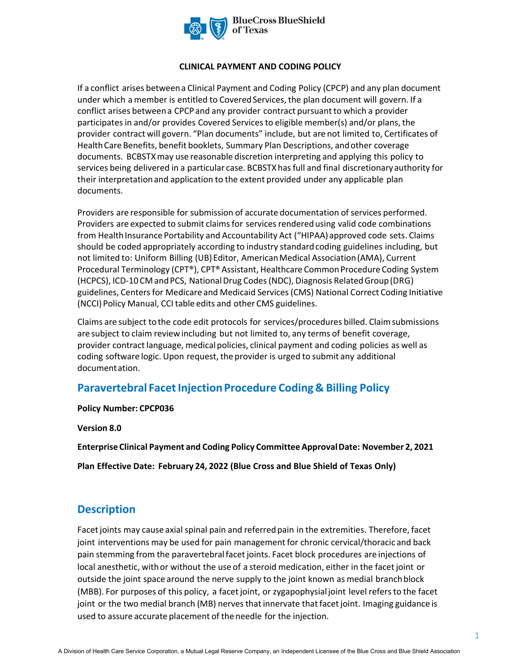

#### **CLINICAL PAYMENT AND CODING POLICY**

If a conflict arises between a Clinical Payment and Coding Policy (CPCP) and any plan document under which a member is entitled to Covered Services, the plan document will govern. If a conflict arises between a CPCP and any provider contract pursuant to which a provider participates in and/or provides Covered Services to eligible member(s) and/or plans, the provider contract will govern. "Plan documents" include, but are not limited to, Certificates of Health Care Benefits, benefit booklets, Summary Plan Descriptions, and other coverage documents. BCBSTXmay use reasonable discretion interpreting and applying this policy to services being delivered in a particular case. BCBSTXhas full and final discretionary authority for their interpretation and application to the extent provided under any applicable plan documents.

Providers are responsible for submission of accurate documentation of services performed. Providers are expected to submit claims for services rendered using valid code combinations from Health Insurance Portability and Accountability Act ("HIPAA) approved code sets. Claims should be coded appropriately according to industry standard coding guidelines including, but not limited to: Uniform Billing (UB) Editor, American Medical Association (AMA), Current Procedural Terminology (CPT®), CPT® Assistant, Healthcare Common Procedure Coding System (HCPCS), ICD-10 CM and PCS, National Drug Codes (NDC), Diagnosis Related Group (DRG) guidelines, Centers for Medicare and Medicaid Services (CMS) National Correct Coding Initiative (NCCI) Policy Manual, CCI table edits and other CMS guidelines.

Claims are subject to the code edit protocols for services/procedures billed. Claim submissions are subject to claim review including but not limited to, any terms of benefit coverage, provider contract language, medical policies, clinical payment and coding policies as well as coding software logic. Upon request, the provider is urged to submit any additional documentation.

# **Paravertebral Facet Injection Procedure Coding & Billing Policy**

**Policy Number: CPCP036** 

**Version 8.0** 

**Enterprise Clinical Payment and Coding Policy Committee Approval Date: November 2, 2021** 

**Plan Effective Date: February 24, 2022 (Blue Cross and Blue Shield of Texas Only)**

# **Description**

Facet joints may cause axial spinal pain and referred pain in the extremities. Therefore, facet joint interventions may be used for pain management for chronic cervical/thoracic and back pain stemming from the paravertebral facet joints. Facet block procedures are injections of local anesthetic, with or without the use of a steroid medication, either in the facet joint or outside the joint space around the nerve supply to the joint known as medial branch block (MBB). For purposes of this policy, a facet joint, or zygapophysial joint level refers to the facet joint or the two medial branch (MB) nerves that innervate that facet joint. Imaging guidance is used to assure accurate placement of the needle for the injection.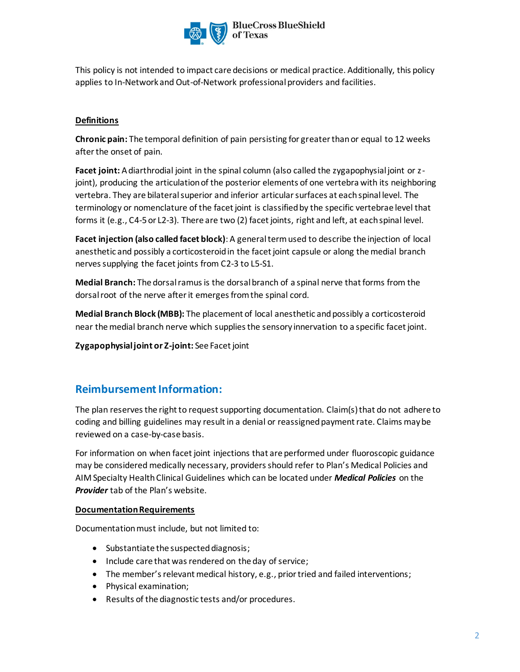

This policy is not intended to impact care decisions or medical practice. Additionally, this policy applies to In-Network and Out-of-Network professional providers and facilities.

### **Definitions**

**Chronic pain:** The temporal definition of pain persisting for greater than or equal to 12 weeks after the onset of pain.

**Facet joint:** A diarthrodial joint in the spinal column (also called the zygapophysial joint or zjoint), producing the articulation of the posterior elements of one vertebra with its neighboring vertebra. They are bilateral superior and inferior articular surfaces at each spinal level. The terminology or nomenclature of the facet joint is classified by the specific vertebrae level that forms it (e.g., C4-5 or L2-3). There are two (2) facet joints, right and left, at each spinal level.

**Facet injection (also called facet block)**: A general term used to describe the injection of local anesthetic and possibly a corticosteroid in the facet joint capsule or along the medial branch nerves supplying the facet joints from C2-3 to L5-S1.

**Medial Branch:** The dorsal ramus is the dorsal branch of a spinal nerve that forms from the dorsal root of the nerve after it emerges from the spinal cord.

**Medial Branch Block (MBB):** The placement of local anesthetic and possibly a corticosteroid near the medial branch nerve which supplies the sensory innervation to a specific facet joint.

**Zygapophysial joint or Z-joint:** See Facet joint

# **Reimbursement Information:**

The plan reserves the right to request supporting documentation. Claim(s) that do not adhere to coding and billing guidelines may result in a denial or reassigned payment rate. Claims may be reviewed on a case-by-case basis.

For information on when facet joint injections that are performed under fluoroscopic guidance may be considered medically necessary, providers should refer to Plan's Medical Policies and AIM Specialty Health Clinical Guidelines which can be located under *Medical Policies* on the *Provider* tab of the Plan's website.

#### **Documentation Requirements**

Documentation must include, but not limited to:

- Substantiate the suspected diagnosis;
- Include care that was rendered on the day of service;
- The member's relevant medical history, e.g., prior tried and failed interventions;
- Physical examination;
- Results of the diagnostic tests and/or procedures.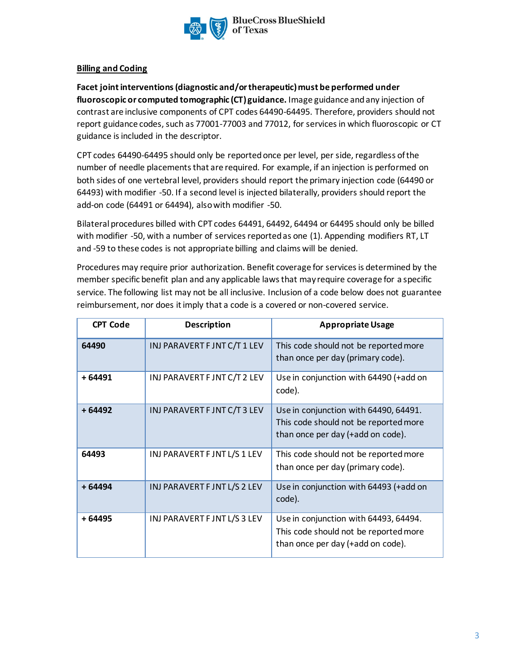

#### **Billing and Coding**

**Facet joint interventions (diagnostic and/or therapeutic) must be performed under fluoroscopic or computed tomographic (CT) guidance.** Image guidance and any injection of contrast are inclusive components of CPT codes 64490-64495. Therefore, providers should not report guidance codes, such as 77001-77003 and 77012, for services in which fluoroscopic or CT guidance is included in the descriptor.

CPT codes 64490-64495 should only be reported once per level, per side, regardless of the number of needle placements that are required. For example, if an injection is performed on both sides of one vertebral level, providers should report the primary injection code (64490 or 64493) with modifier -50. If a second level is injected bilaterally, providers should report the add-on code (64491 or 64494), also with modifier -50.

Bilateral procedures billed with CPT codes 64491, 64492, 64494 or 64495 should only be billed with modifier -50, with a number of services reported as one (1). Appending modifiers RT, LT and -59 to these codes is not appropriate billing and claims will be denied.

Procedures may require prior authorization. Benefit coverage for services is determined by the member specific benefit plan and any applicable laws that may require coverage for a specific service. The following list may not be all inclusive. Inclusion of a code below does not guarantee reimbursement, nor does it imply that a code is a covered or non-covered service.

| <b>CPT Code</b> | <b>Description</b>           | <b>Appropriate Usage</b>                                                                                            |
|-----------------|------------------------------|---------------------------------------------------------------------------------------------------------------------|
| 64490           | INJ PARAVERT F JNT C/T 1 LEV | This code should not be reported more<br>than once per day (primary code).                                          |
| $+64491$        | INJ PARAVERT F JNT C/T 2 LEV | Use in conjunction with 64490 (+add on<br>code).                                                                    |
| $+64492$        | INJ PARAVERT F JNT C/T 3 LEV | Use in conjunction with 64490, 64491.<br>This code should not be reported more<br>than once per day (+add on code). |
| 64493           | INJ PARAVERT F JNT L/S 1 LEV | This code should not be reported more<br>than once per day (primary code).                                          |
| $+64494$        | INJ PARAVERT F JNT L/S 2 LEV | Use in conjunction with 64493 (+add on<br>code).                                                                    |
| + 64495         | INJ PARAVERT F JNT L/S 3 LEV | Use in conjunction with 64493, 64494.<br>This code should not be reported more<br>than once per day (+add on code). |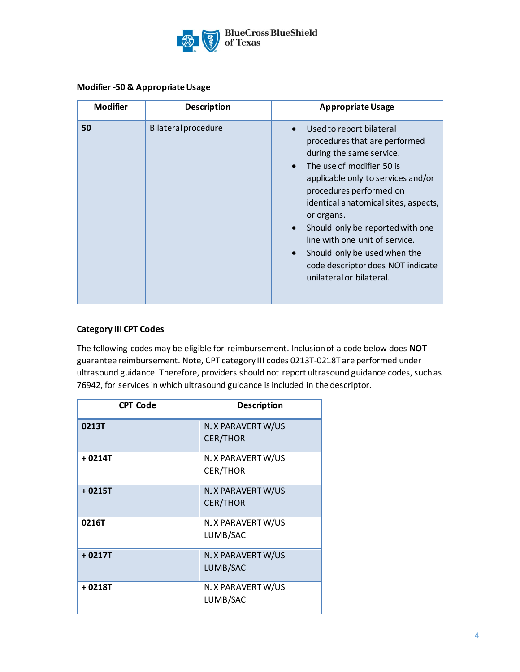

#### **Modifier -50 & Appropriate Usage**

| <b>Modifier</b> | <b>Description</b>         | <b>Appropriate Usage</b>                                                                                                                                                                                                                                                                                                                                                                                                                                             |
|-----------------|----------------------------|----------------------------------------------------------------------------------------------------------------------------------------------------------------------------------------------------------------------------------------------------------------------------------------------------------------------------------------------------------------------------------------------------------------------------------------------------------------------|
| 50              | <b>Bilateral procedure</b> | Used to report bilateral<br>$\bullet$<br>procedures that are performed<br>during the same service.<br>The use of modifier 50 is<br>$\bullet$<br>applicable only to services and/or<br>procedures performed on<br>identical anatomical sites, aspects,<br>or organs.<br>Should only be reported with one<br>$\bullet$<br>line with one unit of service.<br>Should only be used when the<br>$\bullet$<br>code descriptor does NOT indicate<br>unilateral or bilateral. |

## **Category III CPT Codes**

The following codes may be eligible for reimbursement. Inclusion of a code below does **NOT** guarantee reimbursement. Note, CPT category III codes 0213T-0218T are performed under ultrasound guidance. Therefore, providers should not report ultrasound guidance codes, such as 76942, for services in which ultrasound guidance is included in the descriptor.

| <b>CPT Code</b> | <b>Description</b>                   |
|-----------------|--------------------------------------|
| 0213T           | NJX PARAVERTW/US<br><b>CER/THOR</b>  |
| + 0214T         | NJX PARAVERT W/US<br><b>CER/THOR</b> |
| $+0215T$        | NJX PARAVERT W/US<br><b>CER/THOR</b> |
| 0216T           | NJX PARAVERT W/US<br>LUMB/SAC        |
| $+0217T$        | NJX PARAVERT W/US<br>LUMB/SAC        |
| + 0218T         | NJX PARAVERT W/US<br>LUMB/SAC        |